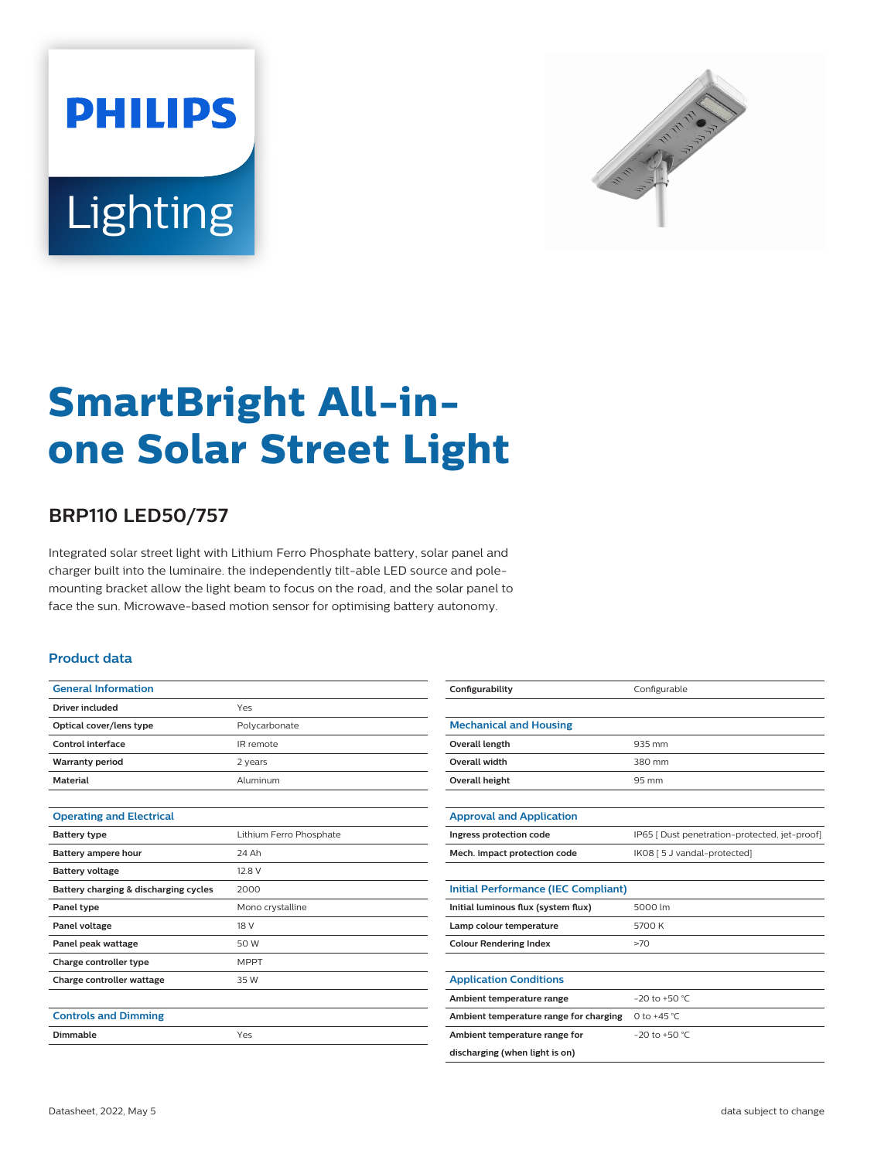



# **SmartBright All-inone Solar Street Light**

## **BRP110 LED50/757**

Integrated solar street light with Lithium Ferro Phosphate battery, solar panel and charger built into the luminaire. the independently tilt-able LED source and polemounting bracket allow the light beam to focus on the road, and the solar panel to face the sun. Microwave-based motion sensor for optimising battery autonomy.

#### **Product data**

| <b>General Information</b>            |                         |
|---------------------------------------|-------------------------|
| <b>Driver included</b>                | Yes                     |
| Optical cover/lens type               | Polycarbonate           |
| Control interface                     | IR remote               |
| <b>Warranty period</b>                | 2 years                 |
| <b>Material</b>                       | Aluminum                |
|                                       |                         |
| <b>Operating and Electrical</b>       |                         |
| <b>Battery type</b>                   | Lithium Ferro Phosphate |
| Battery ampere hour                   | 24 Ah                   |
| <b>Battery voltage</b>                | 12.8 V                  |
| Battery charging & discharging cycles | 2000                    |
| Panel type                            | Mono crystalline        |
| Panel voltage                         | 18 V                    |
| Panel peak wattage                    | 50 W                    |
| Charge controller type                | <b>MPPT</b>             |
| Charge controller wattage             | 35 W                    |
|                                       |                         |
| <b>Controls and Dimming</b>           |                         |
| Dimmable                              | Yes                     |
|                                       |                         |

| Configurability                            | Configurable                                  |
|--------------------------------------------|-----------------------------------------------|
|                                            |                                               |
| <b>Mechanical and Housing</b>              |                                               |
| <b>Overall length</b>                      | 935 mm                                        |
| <b>Overall width</b>                       | 380 mm                                        |
| Overall height                             | 95 mm                                         |
|                                            |                                               |
| <b>Approval and Application</b>            |                                               |
| Ingress protection code                    | IP65 [ Dust penetration-protected, jet-proof] |
| Mech. impact protection code               | IK08 [ 5 J vandal-protected]                  |
|                                            |                                               |
| <b>Initial Performance (IEC Compliant)</b> |                                               |
| Initial luminous flux (system flux)        | 5000 lm                                       |
| Lamp colour temperature                    | 5700 K                                        |
| <b>Colour Rendering Index</b>              | >70                                           |
|                                            |                                               |
| <b>Application Conditions</b>              |                                               |
| Ambient temperature range                  | $-20$ to $+50$ °C                             |
| Ambient temperature range for charging     | 0 to $+45$ °C.                                |
| Ambient temperature range for              | $-20$ to $+50$ °C                             |
| discharging (when light is on)             |                                               |